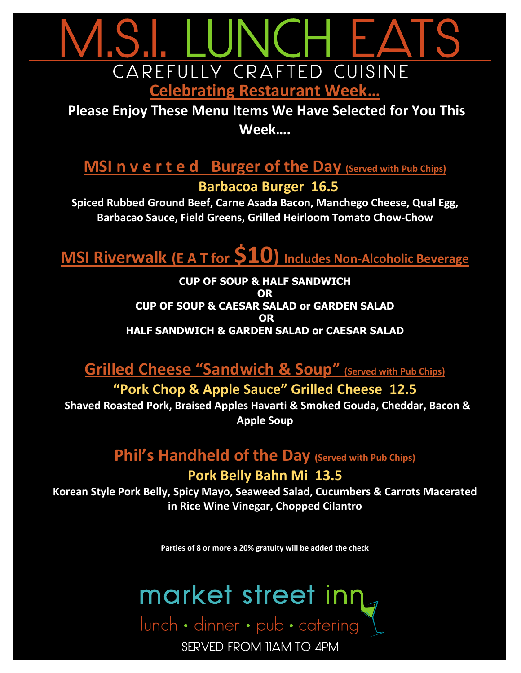

**Please Enjoy These Menu Items We Have Selected for You This Week….**

# **MSI n v e r t e d Burger of the Day (Served with Pub Chips) Barbacoa Burger 16.5**

**Spiced Rubbed Ground Beef, Carne Asada Bacon, Manchego Cheese, Qual Egg, Barbacao Sauce, Field Greens, Grilled Heirloom Tomato Chow-Chow**

**MSI Riverwalk (E <sup>A</sup> <sup>T</sup> for \$10) Includes Non-Alcoholic Beverage**

**CUP OF SOUP & HALF SANDWICH OR CUP OF SOUP & CAESAR SALAD or GARDEN SALAD OR HALF SANDWICH & GARDEN SALAD or CAESAR SALAD** 

**Grilled Cheese "Sandwich & Soup" (Served with Pub Chips)**

**"Pork Chop & Apple Sauce" Grilled Cheese 12.5 Shaved Roasted Pork, Braised Apples Havarti & Smoked Gouda, Cheddar, Bacon &** 

**Apple Soup**

# **Phil's Handheld of the Day (Served with Pub Chips)**

#### **Pork Belly Bahn Mi 13.5**

**Korean Style Pork Belly, Spicy Mayo, Seaweed Salad, Cucumbers & Carrots Macerated in Rice Wine Vinegar, Chopped Cilantro**

**Parties of 8 or more a 20% gratuity will be added the check**



SERVED FROM 11AM TO 4PM